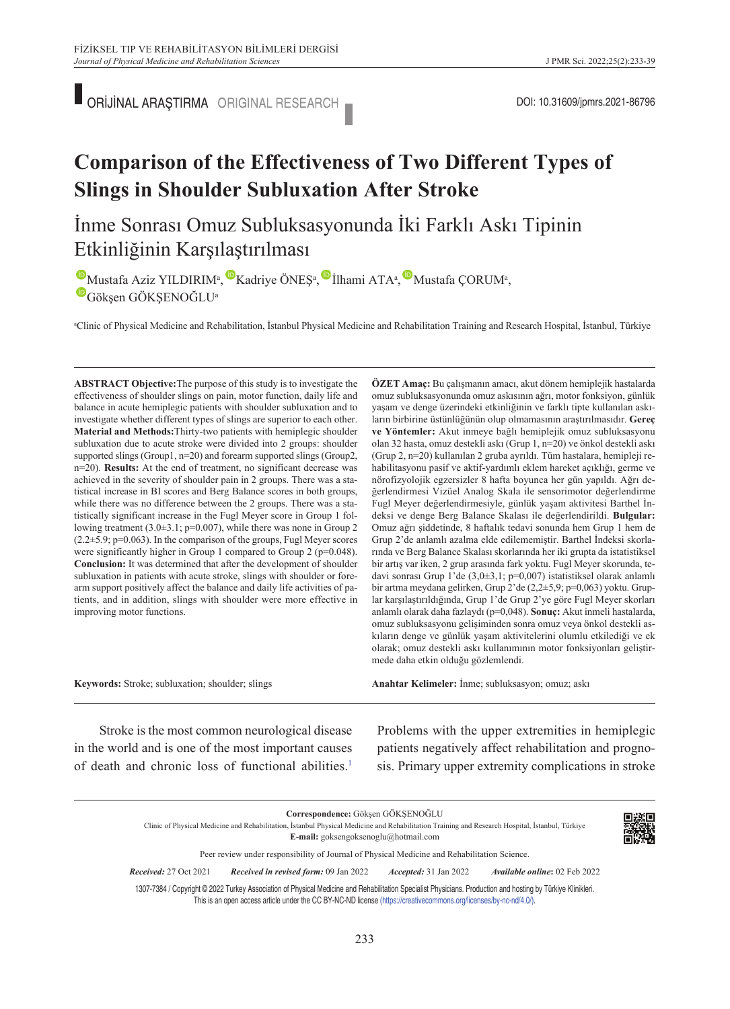ORİJİNAL ARAŞTIRMA ORIGINAL RESEARCH **DOLLA ARAŞTIRMA ORIGINAL RESEARCH** 

## **Comparison of the Effectiveness of Two Different Types of Slings in Shoulder Subluxation After Stroke**

İnme Sonrası Omuz Subluksasyonunda İki Farklı Askı Tipinin Etkinliğinin Karşılaştırılması

MustafaAziz YILDIRIM<sup>a</sup>[,](https://orcid.org/0000-0003-4814-3388) "Kadriye ÖNEŞ<sup>a</sup>, "İlhami ATA<sup>a</sup>, "Mustafa ÇORUM<sup>a</sup>, Gökşen GÖKŞENOĞLUa

a Clinic of Physical Medicine and Rehabilitation, İstanbul Physical Medicine and Rehabilitation Training and Research Hospital, İstanbul, Türkiye

**ABS TRACT Objective:**The purpose of this study is to investigate the effectiveness of shoulder slings on pain, motor function, daily life and balance in acute hemiplegic patients with shoulder subluxation and to investigate whether different types of slings are superior to each other. **Material and Methods:**Thirty-two patients with hemiplegic shoulder subluxation due to acute stroke were divided into 2 groups: shoulder supported slings (Group1, n=20) and forearm supported slings (Group2, n=20). **Results:** At the end of treatment, no significant decrease was achieved in the severity of shoulder pain in 2 groups. There was a statistical increase in BI scores and Berg Balance scores in both groups, while there was no difference between the 2 groups. There was a statistically significant increase in the Fugl Meyer score in Group 1 following treatment (3.0±3.1; p=0.007), while there was none in Group 2  $(2.2\pm5.9; p=0.063)$ . In the comparison of the groups, Fugl Meyer scores were significantly higher in Group 1 compared to Group 2 (p=0.048). **Conclusion:** It was determined that after the development of shoulder subluxation in patients with acute stroke, slings with shoulder or forearm support positively affect the balance and daily life activities of patients, and in addition, slings with shoulder were more effective in improving motor functions.

**ÖZET Amaç:** Bu çalışmanın amacı, akut dönem hemiplejik hastalarda omuz subluksasyonunda omuz askısının ağrı, motor fonksiyon, günlük yaşam ve denge üzerindeki etkinliğinin ve farklı tipte kullanılan askıların birbirine üstünlüğünün olup olmamasının araştırılmasıdır. **Gereç ve Yöntemler:** Akut inmeye bağlı hemiplejik omuz subluksasyonu olan 32 hasta, omuz destekli askı (Grup 1, n=20) ve önkol destekli askı (Grup 2, n=20) kullanılan 2 gruba ayrıldı. Tüm hastalara, hemipleji rehabilitasyonu pasif ve aktif-yardımlı eklem hareket açıklığı, germe ve nörofizyolojik egzersizler 8 hafta boyunca her gün yapıldı. Ağrı değerlendirmesi Vizüel Analog Skala ile sensorimotor değerlendirme Fugl Meyer değerlendirmesiyle, günlük yaşam aktivitesi Barthel İndeksi ve denge Berg Balance Skalası ile değerlendirildi. **Bulgular:**  Omuz ağrı şiddetinde, 8 haftalık tedavi sonunda hem Grup 1 hem de Grup 2'de anlamlı azalma elde edilememiştir. Barthel İndeksi skorlarında ve Berg Balance Skalası skorlarında her iki grupta da istatistiksel bir artış var iken, 2 grup arasında fark yoktu. Fugl Meyer skorunda, tedavi sonrası Grup 1'de (3,0±3,1; p=0,007) istatistiksel olarak anlamlı bir artma meydana gelirken, Grup 2'de (2,2±5,9; p=0,063) yoktu. Gruplar karşılaştırıldığında, Grup 1'de Grup 2'ye göre Fugl Meyer skorları anlamlı olarak daha fazlaydı (p=0,048). **Sonuç:** Akut inmeli hastalarda, omuz subluksasyonu gelişiminden sonra omuz veya önkol destekli askıların denge ve günlük yaşam aktivitelerini olumlu etkilediği ve ek olarak; omuz destekli askı kullanımının motor fonksiyonları geliştirmede daha etkin olduğu gözlemlendi.

**Keywords:** Stroke; subluxation; shoulder; slings

Anahtar Kelimeler: İnme; subluksasyon; omuz; askı

Stroke is the most common neurological disease in the world and is one of the most important causes of death and chronic loss of functional abilities.<sup>1</sup>

Problems with the upper extremities in hemiplegic patients negatively affect rehabilitation and prognosis. Primary upper extremity complications in stroke



1307-7384 / Copyright © 2022 Turkey Association of Physical Medicine and Rehabilitation Specialist Physicians. Production and hosting by Türkiye Klinikleri. This is an open access article under the CC BY-NC-ND license [\(https://creativecommons.org/licenses/by-nc-nd/4.0/\)](https://creativecommons.org/licenses/by-nc-nd/4.0/).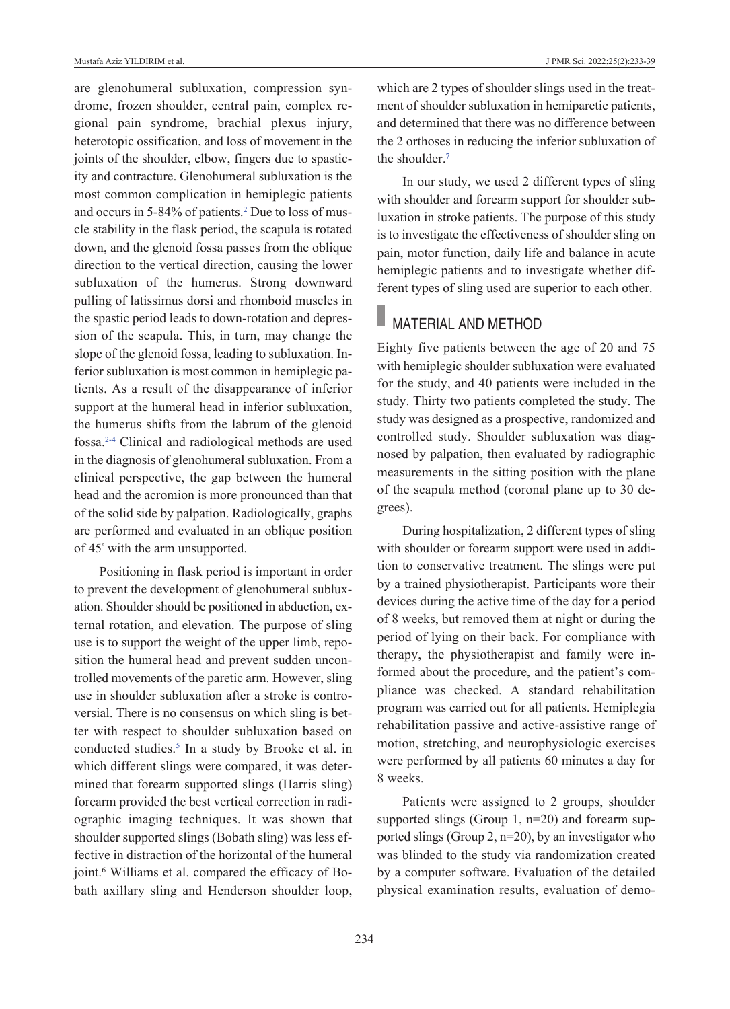are glenohumeral subluxation, compression syndrome, frozen shoulder, central pain, complex regional pain syndrome, brachial plexus injury, heterotopic ossification, and loss of movement in the joints of the shoulder, elbow, fingers due to spasticity and contracture. Glenohumeral subluxation is the most common complication in hemiplegic patients and occurs in 5-84% of patients.<sup>2</sup> Due to loss of muscle stability in the flask period, the scapula is rotated down, and the glenoid fossa passes from the oblique direction to the vertical direction, causing the lower subluxation of the humerus. Strong downward pulling of latissimus dorsi and rhomboid muscles in the spastic period leads to down-rotation and depression of the scapula. This, in turn, may change the slope of the glenoid fossa, leading to subluxation. Inferior subluxation is most common in hemiplegic patients. As a result of the disappearance of inferior support at the humeral head in inferior subluxation, the humerus shifts from the labrum of the glenoid fossa[.2-4](#page-6-0) Clinical and radiological methods are used in the diagnosis of glenohumeral subluxation. From a clinical perspective, the gap between the humeral head and the acromion is more pronounced than that of the solid side by palpation. Radiologically, graphs are performed and evaluated in an oblique position of 45º with the arm unsupported.

Positioning in flask period is important in order to prevent the development of glenohumeral subluxation. Shoulder should be positioned in abduction, external rotation, and elevation. The purpose of sling use is to support the weight of the upper limb, reposition the humeral head and prevent sudden uncontrolled movements of the paretic arm. However, sling use in shoulder subluxation after a stroke is controversial. There is no consensus on which sling is better with respect to shoulder subluxation based on conducted studies.<sup>5</sup> In a study by Brooke et al. in which different slings were compared, it was determined that forearm supported slings (Harris sling) forearm provided the best vertical correction in radiographic imaging techniques. It was shown that shoulder supported slings (Bobath sling) was less effective in distraction of the horizontal of the humeral joint.<sup>6</sup> Williams et al. compared the efficacy of Bobath axillary sling and Henderson shoulder loop,

which are 2 types of shoulder slings used in the treatment of shoulder subluxation in hemiparetic patients, and determined that there was no difference between the 2 orthoses in reducing the inferior subluxation of the shoulder[.7](#page-6-0)

In our study, we used 2 different types of sling with shoulder and forearm support for shoulder subluxation in stroke patients. The purpose of this study is to investigate the effectiveness of shoulder sling on pain, motor function, daily life and balance in acute hemiplegic patients and to investigate whether different types of sling used are superior to each other.

# **MATERIAL AND METHOD**

Eighty five patients between the age of 20 and 75 with hemiplegic shoulder subluxation were evaluated for the study, and 40 patients were included in the study. Thirty two patients completed the study. The study was designed as a prospective, randomized and controlled study. Shoulder subluxation was diagnosed by palpation, then evaluated by radiographic measurements in the sitting position with the plane of the scapula method (coronal plane up to 30 degrees).

During hospitalization, 2 different types of sling with shoulder or forearm support were used in addition to conservative treatment. The slings were put by a trained physiotherapist. Participants wore their devices during the active time of the day for a period of 8 weeks, but removed them at night or during the period of lying on their back. For compliance with therapy, the physiotherapist and family were informed about the procedure, and the patient's compliance was checked. A standard rehabilitation program was carried out for all patients. Hemiplegia rehabilitation passive and active-assistive range of motion, stretching, and neurophysiologic exercises were performed by all patients 60 minutes a day for 8 weeks.

Patients were assigned to 2 groups, shoulder supported slings (Group 1, n=20) and forearm supported slings (Group 2, n=20), by an investigator who was blinded to the study via randomization created by a computer software. Evaluation of the detailed physical examination results, evaluation of demo-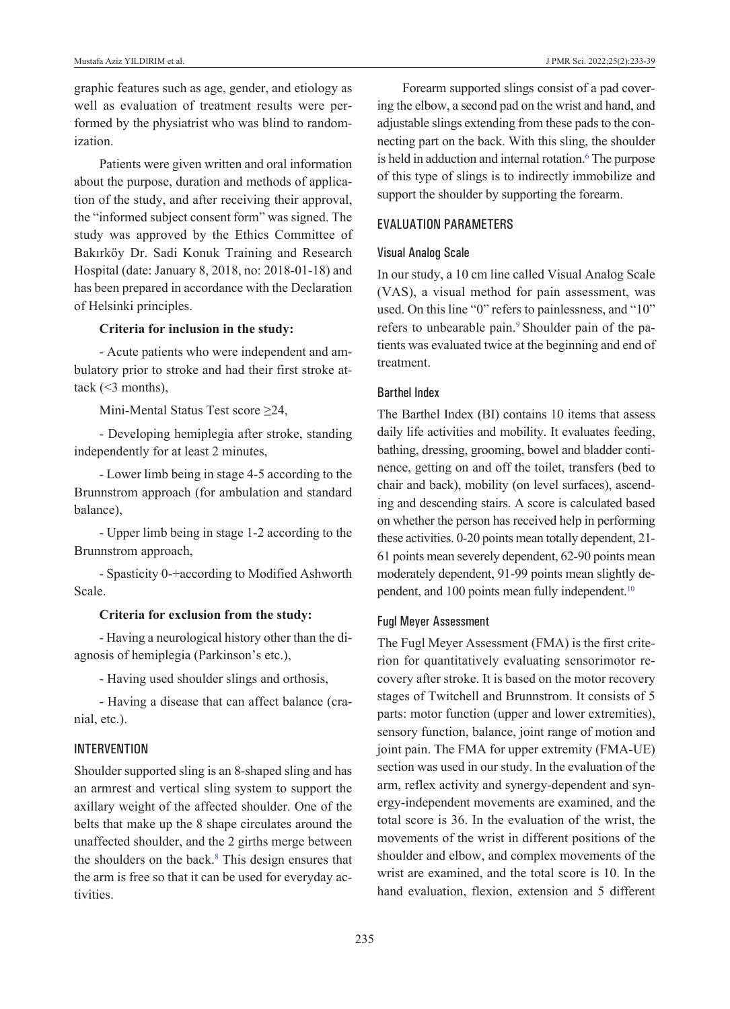graphic features such as age, gender, and etiology as well as evaluation of treatment results were performed by the physiatrist who was blind to randomization.

Patients were given written and oral information about the purpose, duration and methods of application of the study, and after receiving their approval, the "informed subject consent form" was signed. The study was approved by the Ethics Committee of Bakırköy Dr. Sadi Konuk Training and Research Hospital (date: January 8, 2018, no: 2018-01-18) and has been prepared in accordance with the Declaration of Helsinki principles.

#### **Criteria for inclusion in the study:**

- Acute patients who were independent and ambulatory prior to stroke and had their first stroke attack  $(<3$  months),

Mini-Mental Status Test score ≥24,

- Developing hemiplegia after stroke, standing independently for at least 2 minutes,

- Lower limb being in stage 4-5 according to the Brunnstrom approach (for ambulation and standard balance),

- Upper limb being in stage 1-2 according to the Brunnstrom approach,

- Spasticity 0-+according to Modified Ashworth Scale.

#### **Criteria for exclusion from the study:**

- Having a neurological history other than the diagnosis of hemiplegia (Parkinson's etc.),

- Having used shoulder slings and orthosis,

- Having a disease that can affect balance (cranial, etc.).

#### **INTERVENTION**

Shoulder supported sling is an 8-shaped sling and has an armrest and vertical sling system to support the axillary weight of the affected shoulder. One of the belts that make up the 8 shape circulates around the unaffected shoulder, and the 2 girths merge between the shoulders on the back.<sup>8</sup> This design ensures that the arm is free so that it can be used for everyday activities.

Forearm supported slings consist of a pad covering the elbow, a second pad on the wrist and hand, and adjustable slings extending from these pads to the connecting part on the back. With this sling, the shoulder is held in adduction and internal rotation.<sup>6</sup> The purpose of this type of slings is to indirectly immobilize and support the shoulder by supporting the forearm.

#### evaluatIon Parameters

#### Visual Analog Scale

In our study, a 10 cm line called Visual Analog Scale (VAS), a visual method for pain assessment, was used. On this line "0" refers to painlessness, and "10" refers to unbearable pain.<sup>9</sup> Shoulder pain of the patients was evaluated twice at the beginning and end of treatment.

### Barthel Index

The Barthel Index (BI) contains 10 items that assess daily life activities and mobility. It evaluates feeding, bathing, dressing, grooming, bowel and bladder continence, getting on and off the toilet, transfers (bed to chair and back), mobility (on level surfaces), ascending and descending stairs. A score is calculated based on whether the person has received help in performing these activities. 0-20 points mean totally dependent, 21- 61 points mean severely dependent, 62-90 points mean moderately dependent, 91-99 points mean slightly dependent, and 100 points mean fully independent.<sup>10</sup>

#### Fugl Meyer Assessment

The Fugl Meyer Assessment (FMA) is the first criterion for quantitatively evaluating sensorimotor recovery after stroke. It is based on the motor recovery stages of Twitchell and Brunnstrom. It consists of 5 parts: motor function (upper and lower extremities), sensory function, balance, joint range of motion and joint pain. The FMA for upper extremity (FMA-UE) section was used in our study. In the evaluation of the arm, reflex activity and synergy-dependent and synergy-independent movements are examined, and the total score is 36. In the evaluation of the wrist, the movements of the wrist in different positions of the shoulder and elbow, and complex movements of the wrist are examined, and the total score is 10. In the hand evaluation, flexion, extension and 5 different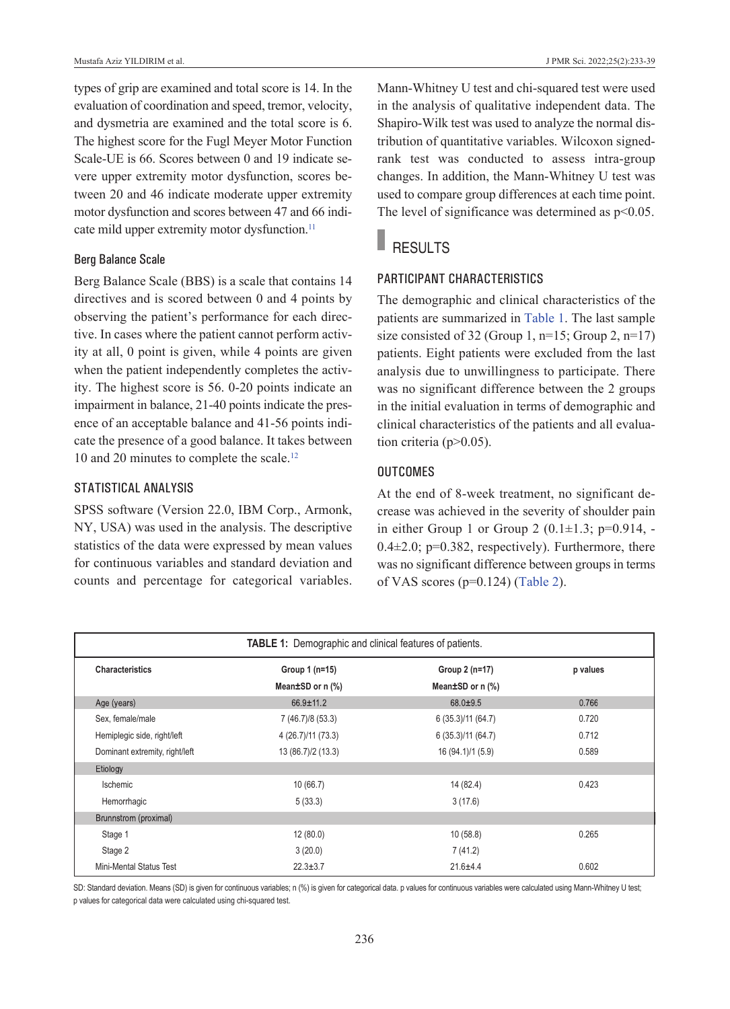types of grip are examined and total score is 14. In the evaluation of coordination and speed, tremor, velocity, and dysmetria are examined and the total score is 6. The highest score for the Fugl Meyer Motor Function Scale-UE is 66. Scores between 0 and 19 indicate severe upper extremity motor dysfunction, scores between 20 and 46 indicate moderate upper extremity motor dysfunction and scores between 47 and 66 indicate mild upper extremity motor dysfunction.<sup>11</sup>

#### Berg Balance Scale

Berg Balance Scale (BBS) is a scale that contains 14 directives and is scored between 0 and 4 points by observing the patient's performance for each directive. In cases where the patient cannot perform activity at all, 0 point is given, while 4 points are given when the patient independently completes the activity. The highest score is 56. 0-20 points indicate an impairment in balance, 21-40 points indicate the presence of an acceptable balance and 41-56 points indicate the presence of a good balance. It takes between 10 and 20 minutes to complete the scale.<sup>12</sup>

#### STATISTICAL ANALYSIS

SPSS software (Version 22.0, IBM Corp., Armonk, NY, USA) was used in the analysis. The descriptive statistics of the data were expressed by mean values for continuous variables and standard deviation and counts and percentage for categorical variables. Mann-Whitney U test and chi-squared test were used in the analysis of qualitative independent data. The Shapiro-Wilk test was used to analyze the normal distribution of quantitative variables. Wilcoxon signedrank test was conducted to assess intra-group changes. In addition, the Mann-Whitney U test was used to compare group differences at each time point. The level of significance was determined as  $p<0.05$ .

# RESULTS

### PartIcIPant characterIstIcs

The demographic and clinical characteristics of the patients are summarized in [Table 1.](#page-6-0) The last sample size consisted of 32 (Group 1,  $n=15$ ; Group 2,  $n=17$ ) patients. Eight patients were excluded from the last analysis due to unwillingness to participate. There was no significant difference between the 2 groups in the initial evaluation in terms of demographic and clinical characteristics of the patients and all evaluation criteria (p>0.05).

#### **OUTCOMES**

At the end of 8-week treatment, no significant decrease was achieved in the severity of shoulder pain in either Group 1 or Group 2  $(0.1 \pm 1.3; \text{p=0.914}, 0.4\pm2.0$ ; p= $0.382$ , respectively). Furthermore, there was no significant difference between groups in terms of VAS scores ( $p=0.124$ ) [\(Table 2\)](#page-4-0).

| <b>TABLE 1:</b> Demographic and clinical features of patients. |                           |                    |          |  |  |  |
|----------------------------------------------------------------|---------------------------|--------------------|----------|--|--|--|
| <b>Characteristics</b>                                         | Group 1 (n=15)            | Group 2 (n=17)     | p values |  |  |  |
|                                                                | Mean $\pm$ SD or n $(\%)$ | Mean±SD or n (%)   |          |  |  |  |
| Age (years)                                                    | $66.9 \pm 11.2$           | 68.0±9.5           | 0.766    |  |  |  |
| Sex, female/male                                               | 7 (46.7)/8 (53.3)         | 6 (35.3)/11 (64.7) | 0.720    |  |  |  |
| Hemiplegic side, right/left                                    | 4 (26.7)/11 (73.3)        | 6 (35.3)/11 (64.7) | 0.712    |  |  |  |
| Dominant extremity, right/left                                 | 13 (86.7)/2 (13.3)        | 16 (94.1)/1 (5.9)  | 0.589    |  |  |  |
| Etiology                                                       |                           |                    |          |  |  |  |
| Ischemic                                                       | 10(66.7)                  | 14 (82.4)          | 0.423    |  |  |  |
| Hemorrhagic                                                    | 5(33.3)                   | 3(17.6)            |          |  |  |  |
| Brunnstrom (proximal)                                          |                           |                    |          |  |  |  |
| Stage 1                                                        | 12(80.0)                  | 10(58.8)           | 0.265    |  |  |  |
| Stage 2                                                        | 3(20.0)                   | 7(41.2)            |          |  |  |  |
| Mini-Mental Status Test                                        | $22.3 \pm 3.7$            | $21.6 + 4.4$       | 0.602    |  |  |  |

SD: Standard deviation. Means (SD) is given for continuous variables; n (%) is given for categorical data. p values for continuous variables were calculated using Mann-Whitney U test; p values for categorical data were calculated using chi-squared test.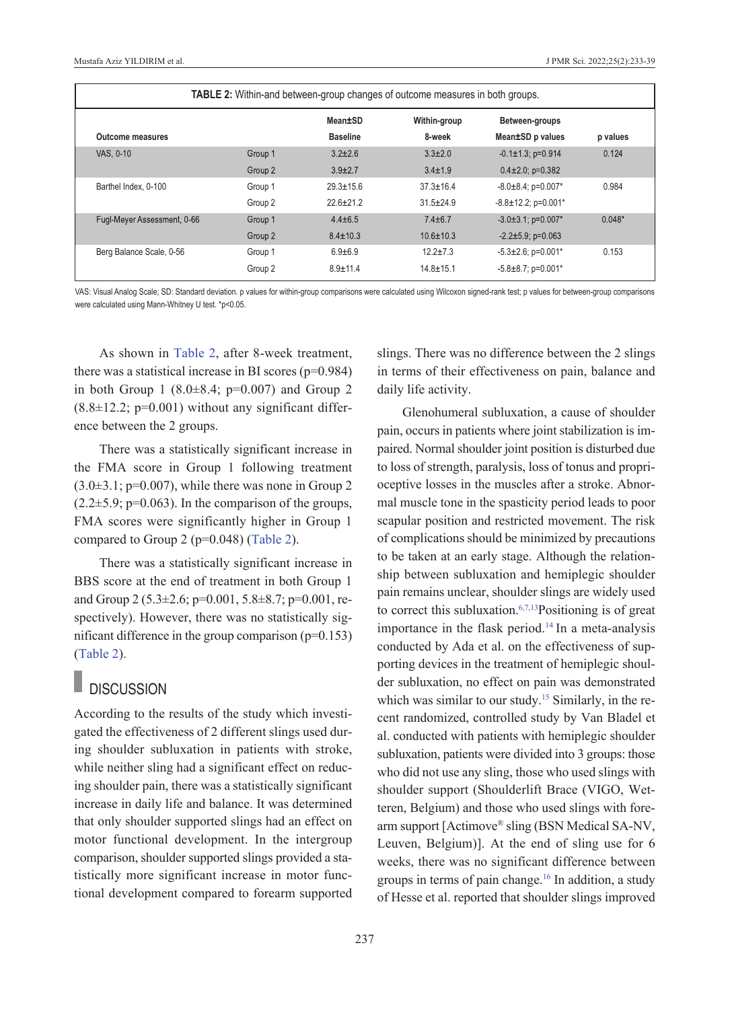| <b>TABLE 2:</b> Within-and between-group changes of outcome measures in both groups. |         |                 |                 |                            |          |  |  |
|--------------------------------------------------------------------------------------|---------|-----------------|-----------------|----------------------------|----------|--|--|
|                                                                                      |         | Mean±SD         | Within-group    | Between-groups             |          |  |  |
| <b>Outcome measures</b>                                                              |         | <b>Baseline</b> | 8-week          | Mean±SD p values           | p values |  |  |
| VAS, 0-10                                                                            | Group 1 | $3.2 \pm 2.6$   | $3.3 \pm 2.0$   | $-0.1 \pm 1.3$ ; p=0.914   | 0.124    |  |  |
|                                                                                      | Group 2 | $3.9 \pm 2.7$   | $3.4 \pm 1.9$   | $0.4 \pm 2.0$ ; p=0.382    |          |  |  |
| Barthel Index, 0-100                                                                 | Group 1 | $29.3 \pm 15.6$ | $37.3 \pm 16.4$ | $-8.0 \pm 8.4$ ; p=0.007*  | 0.984    |  |  |
|                                                                                      | Group 2 | $22.6 \pm 21.2$ | $31.5 \pm 24.9$ | $-8.8 \pm 12.2$ ; p=0.001* |          |  |  |
| Fugl-Meyer Assessment, 0-66                                                          | Group 1 | $4.4 \pm 6.5$   | $7.4 \pm 6.7$   | $-3.0\pm3.1$ ; p=0.007*    | $0.048*$ |  |  |
|                                                                                      | Group 2 | $8.4 \pm 10.3$  | $10.6 \pm 10.3$ | $-2.2 \pm 5.9$ ; p=0.063   |          |  |  |
| Berg Balance Scale, 0-56                                                             | Group 1 | $6.9 + 6.9$     | $12.2 + 7.3$    | $-5.3 \pm 2.6$ ; p=0.001*  | 0.153    |  |  |
|                                                                                      | Group 2 | $8.9 \pm 11.4$  | $14.8 \pm 15.1$ | $-5.8 \pm 8.7$ ; p=0.001*  |          |  |  |

VAS: Visual Analog Scale; SD: Standard deviation. p values for within-group comparisons were calculated using Wilcoxon signed-rank test; p values for between-group comparisons were calculated using Mann-Whitney U test. \*p<0.05.

As shown in [Table 2,](#page-4-0) after 8-week treatment, there was a statistical increase in BI scores  $(p=0.984)$ in both Group 1 (8.0 $\pm$ 8.4; p=0.007) and Group 2  $(8.8\pm12.2; p=0.001)$  without any significant difference between the 2 groups.

There was a statistically significant increase in the FMA score in Group 1 following treatment  $(3.0\pm3.1; p=0.007)$ , while there was none in Group 2  $(2.2\pm 5.9; p=0.063)$ . In the comparison of the groups, FMA scores were significantly higher in Group 1 compared to Group 2 (p=0.048) [\(Table 2\)](#page-4-0).

There was a statistically significant increase in BBS score at the end of treatment in both Group 1 and Group 2 (5.3±2.6; p=0.001, 5.8±8.7; p=0.001, respectively). However, there was no statistically significant difference in the group comparison  $(p=0.153)$ [\(Table 2\)](#page-4-0).

## **DISCUSSION**

According to the results of the study which investigated the effectiveness of 2 different slings used during shoulder subluxation in patients with stroke, while neither sling had a significant effect on reducing shoulder pain, there was a statistically significant increase in daily life and balance. It was determined that only shoulder supported slings had an effect on motor functional development. In the intergroup comparison, shoulder supported slings provided a statistically more significant increase in motor functional development compared to forearm supported <span id="page-4-0"></span>slings. There was no difference between the 2 slings in terms of their effectiveness on pain, balance and daily life activity.

Glenohumeral subluxation, a cause of shoulder pain, occurs in patients where joint stabilization is impaired. Normal shoulder joint position is disturbed due to loss of strength, paralysis, loss of tonus and proprioceptive losses in the muscles after a stroke. Abnormal muscle tone in the spasticity period leads to poor scapular position and restricted movement. The risk of complications should be minimized by precautions to be taken at an early stage. Although the relationship between subluxation and hemiplegic shoulder pain remains unclear, shoulder slings are widely used to correct this subluxation. $6,7,13$ Positioning is of great importance in the flask period.<sup>14</sup> In a meta-analysis conducted by Ada et al. on the effectiveness of supporting devices in the treatment of hemiplegic shoulder subluxation, no effect on pain was demonstrated which was similar to our study.<sup>15</sup> Similarly, in the recent randomized, controlled study by Van Bladel et al. conducted with patients with hemiplegic shoulder subluxation, patients were divided into 3 groups: those who did not use any sling, those who used slings with shoulder support (Shoulderlift Brace (VIGO, Wetteren, Belgium) and those who used slings with forearm support [Actimove® sling (BSN Medical SA-NV, Leuven, Belgium)]. At the end of sling use for 6 weeks, there was no significant difference between groups in terms of pain change[.16](#page-6-0) In addition, a study of Hesse et al. reported that shoulder slings improved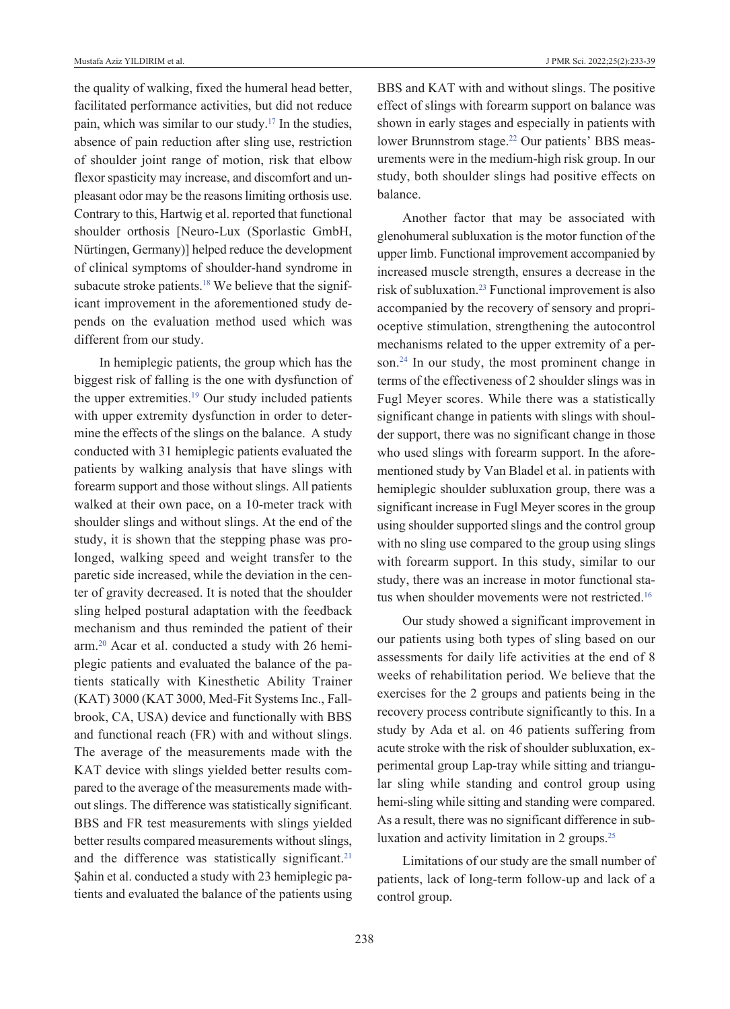the quality of walking, fixed the humeral head better, facilitated performance activities, but did not reduce pain, which was similar to our study[.17](#page-6-0) In the studies, absence of pain reduction after sling use, restriction of shoulder joint range of motion, risk that elbow flexor spasticity may increase, and discomfort and unpleasant odor may be the reasons limiting orthosis use. Contrary to this, Hartwig et al. reported that functional shoulder orthosis [Neuro-Lux (Sporlastic GmbH, Nürtingen, Germany)] helped reduce the development of clinical symptoms of shoulder-hand syndrome in subacute stroke patients.<sup>18</sup> We believe that the significant improvement in the aforementioned study depends on the evaluation method used which was different from our study.

In hemiplegic patients, the group which has the biggest risk of falling is the one with dysfunction of the upper extremities[.19](#page-6-0) Our study included patients with upper extremity dysfunction in order to determine the effects of the slings on the balance. A study conducted with 31 hemiplegic patients evaluated the patients by walking analysis that have slings with forearm support and those without slings. All patients walked at their own pace, on a 10-meter track with shoulder slings and without slings. At the end of the study, it is shown that the stepping phase was prolonged, walking speed and weight transfer to the paretic side increased, while the deviation in the center of gravity decreased. It is noted that the shoulder sling helped postural adaptation with the feedback mechanism and thus reminded the patient of their arm[.20](#page-6-0) Acar et al. conducted a study with 26 hemiplegic patients and evaluated the balance of the patients statically with Kinesthetic Ability Trainer (KAT) 3000 (KAT 3000, Med-Fit Systems Inc., Fallbrook, CA, USA) device and functionally with BBS and functional reach (FR) with and without slings. The average of the measurements made with the KAT device with slings yielded better results compared to the average of the measurements made without slings. The difference was statistically significant. BBS and FR test measurements with slings yielded better results compared measurements without slings, and the difference was statistically significant.<sup>21</sup> Şahin et al. conducted a study with 23 hemiplegic patients and evaluated the balance of the patients using BBS and KAT with and without slings. The positive effect of slings with forearm support on balance was shown in early stages and especially in patients with lower Brunnstrom stage.<sup>22</sup> Our patients' BBS measurements were in the medium-high risk group. In our study, both shoulder slings had positive effects on balance.

Another factor that may be associated with glenohumeral subluxation is the motor function of the upper limb. Functional improvement accompanied by increased muscle strength, ensures a decrease in the risk of subluxation[.23](#page-6-0) Functional improvement is also accompanied by the recovery of sensory and proprioceptive stimulation, strengthening the autocontrol mechanisms related to the upper extremity of a person.<sup>24</sup> In our study, the most prominent change in terms of the effectiveness of 2 shoulder slings was in Fugl Meyer scores. While there was a statistically significant change in patients with slings with shoulder support, there was no significant change in those who used slings with forearm support. In the aforementioned study by Van Bladel et al. in patients with hemiplegic shoulder subluxation group, there was a significant increase in Fugl Meyer scores in the group using shoulder supported slings and the control group with no sling use compared to the group using slings with forearm support. In this study, similar to our study, there was an increase in motor functional status when shoulder movements were not restricted.<sup>16</sup>

Our study showed a significant improvement in our patients using both types of sling based on our assessments for daily life activities at the end of 8 weeks of rehabilitation period. We believe that the exercises for the 2 groups and patients being in the recovery process contribute significantly to this. In a study by Ada et al. on 46 patients suffering from acute stroke with the risk of shoulder subluxation, experimental group Lap-tray while sitting and triangular sling while standing and control group using hemi-sling while sitting and standing were compared. As a result, there was no significant difference in subluxation and activity limitation in 2 groups[.25](#page-6-0)

Limitations of our study are the small number of patients, lack of long-term follow-up and lack of a control group.